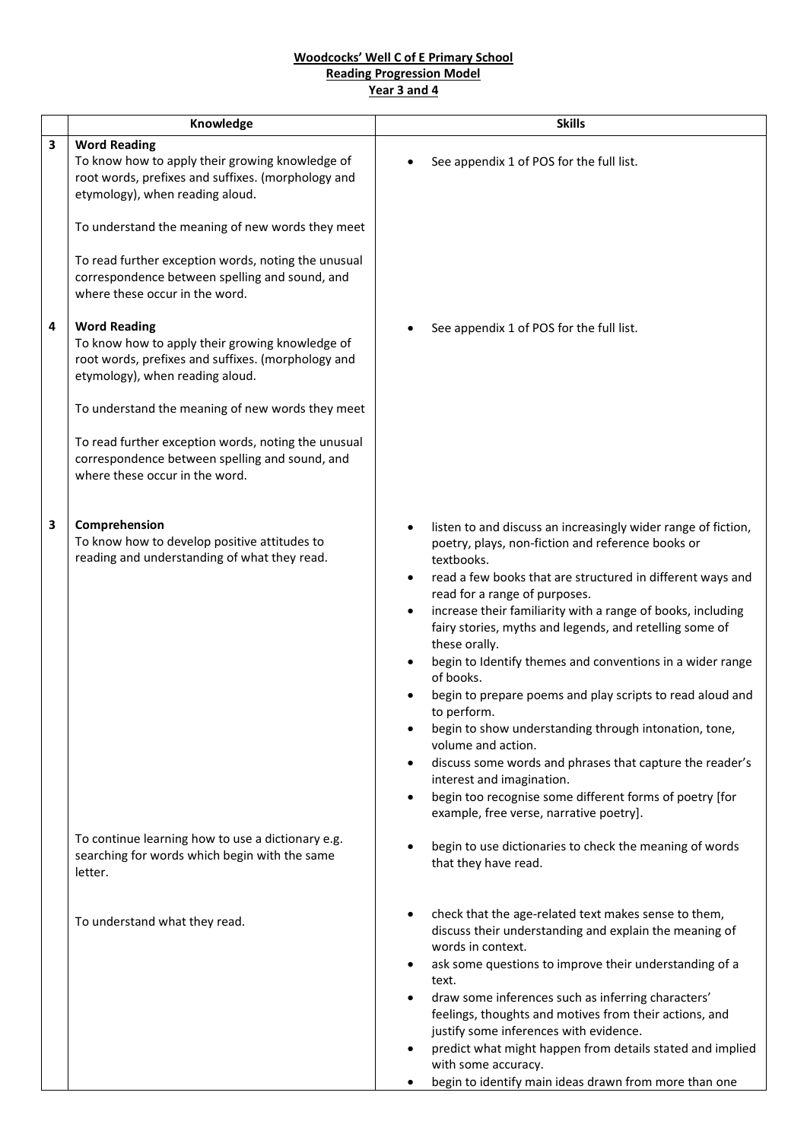## **Woodcocks' Well C of E Primary School Reading Progression Model Year 3 and 4**

|   | Knowledge                                                                                                                                                       | <b>Skills</b>                                                                                                                                                                                                                                                                                                                                                                                                                                                                                                                                                                                                                                                                                                                                                                                                               |
|---|-----------------------------------------------------------------------------------------------------------------------------------------------------------------|-----------------------------------------------------------------------------------------------------------------------------------------------------------------------------------------------------------------------------------------------------------------------------------------------------------------------------------------------------------------------------------------------------------------------------------------------------------------------------------------------------------------------------------------------------------------------------------------------------------------------------------------------------------------------------------------------------------------------------------------------------------------------------------------------------------------------------|
| 3 | <b>Word Reading</b>                                                                                                                                             |                                                                                                                                                                                                                                                                                                                                                                                                                                                                                                                                                                                                                                                                                                                                                                                                                             |
|   | To know how to apply their growing knowledge of<br>root words, prefixes and suffixes. (morphology and<br>etymology), when reading aloud.                        | See appendix 1 of POS for the full list.                                                                                                                                                                                                                                                                                                                                                                                                                                                                                                                                                                                                                                                                                                                                                                                    |
|   | To understand the meaning of new words they meet                                                                                                                |                                                                                                                                                                                                                                                                                                                                                                                                                                                                                                                                                                                                                                                                                                                                                                                                                             |
|   | To read further exception words, noting the unusual<br>correspondence between spelling and sound, and<br>where these occur in the word.                         |                                                                                                                                                                                                                                                                                                                                                                                                                                                                                                                                                                                                                                                                                                                                                                                                                             |
| 4 | <b>Word Reading</b><br>To know how to apply their growing knowledge of<br>root words, prefixes and suffixes. (morphology and<br>etymology), when reading aloud. | See appendix 1 of POS for the full list.                                                                                                                                                                                                                                                                                                                                                                                                                                                                                                                                                                                                                                                                                                                                                                                    |
|   | To understand the meaning of new words they meet                                                                                                                |                                                                                                                                                                                                                                                                                                                                                                                                                                                                                                                                                                                                                                                                                                                                                                                                                             |
|   | To read further exception words, noting the unusual<br>correspondence between spelling and sound, and<br>where these occur in the word.                         |                                                                                                                                                                                                                                                                                                                                                                                                                                                                                                                                                                                                                                                                                                                                                                                                                             |
| 3 | Comprehension<br>To know how to develop positive attitudes to<br>reading and understanding of what they read.                                                   | listen to and discuss an increasingly wider range of fiction,<br>poetry, plays, non-fiction and reference books or<br>textbooks.<br>read a few books that are structured in different ways and<br>read for a range of purposes.<br>increase their familiarity with a range of books, including<br>fairy stories, myths and legends, and retelling some of<br>these orally.<br>begin to Identify themes and conventions in a wider range<br>of books.<br>begin to prepare poems and play scripts to read aloud and<br>to perform.<br>begin to show understanding through intonation, tone,<br>volume and action.<br>discuss some words and phrases that capture the reader's<br>interest and imagination.<br>begin too recognise some different forms of poetry [for<br>$\bullet$<br>example, free verse, narrative poetry]. |
|   | To continue learning how to use a dictionary e.g.<br>searching for words which begin with the same<br>letter.                                                   | begin to use dictionaries to check the meaning of words<br>that they have read.                                                                                                                                                                                                                                                                                                                                                                                                                                                                                                                                                                                                                                                                                                                                             |
|   | To understand what they read.                                                                                                                                   | check that the age-related text makes sense to them,<br>discuss their understanding and explain the meaning of<br>words in context.<br>ask some questions to improve their understanding of a<br>text.<br>draw some inferences such as inferring characters'<br>feelings, thoughts and motives from their actions, and<br>justify some inferences with evidence.<br>predict what might happen from details stated and implied<br>with some accuracy.<br>begin to identify main ideas drawn from more than one                                                                                                                                                                                                                                                                                                               |